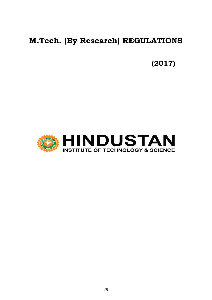# **M.Tech. (By Research) REGULATIONS**

**(2017)**

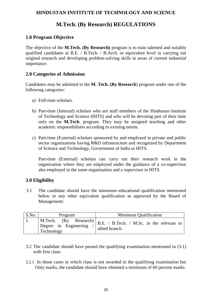# **HINDUSTAN INSTITUTE OF TECHNOLOGY AND SCIENCE**

# **M.Tech. (By Research) REGULATIONS**

# **1.0 Program Objective**

The objective of the **M.Tech. (By Research)** program is to train talented and suitably qualified candidates at B.E. / B.Tech. / B.Arch. or equivalent level in carrying out original research and developing problem-solving skills in areas of current industrial importance.

#### **2.0 Categories of Admission**

Candidates may be admitted to the **M. Tech. (By Research**) program under one of the following categories:

- a) Full-time scholars.
- b) Part-time (Internal) scholars who are staff members of the Hindustan Institute of Technology and Science (HITS) and who will be devoting part of their time only on the **M.Tech**. program. They may be assigned teaching and other academic responsibilities according to existing norms.
- c) Part-time (External) scholars sponsored by and employed in private and public sector organizations having R&D infrastructure and recognized by Department of Science and Technology, Government of India or HITS.

Part-time (External) scholars can carry out their research work in the organization where they are employed under the guidance of a co-supervisor also employed in the same organization and a supervisor in HITS.

# **3.0 Eligibility**

3.1 The candidate should have the minimum educational qualification mentioned below or any other equivalent qualification as approved by the Board of Management:

| S.No. | Program                                                      | Minimum Qualification                                       |  |  |
|-------|--------------------------------------------------------------|-------------------------------------------------------------|--|--|
|       | M.Tech. (By Research)<br>Degree in Engineering<br>Technology | B.E. / B.Tech. / M.Sc. in the relevant or<br>allied branch. |  |  |

- 3.2 The candidate should have passed the qualifying examination mentioned in (3.1) with first class.
- 3.2.1 In those cases in which class is not awarded in the qualifying examination but Only marks, the candidate should have obtained a minimum of 60 percent marks.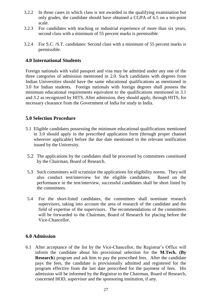- 3.2.2 In those cases in which class is not awarded in the qualifying examination but only grades, the candidate should have obtained a CGPA of 6.5 on a ten-point scale.
- 3.2.3 For candidates with teaching or industrial experience of more than six years, second class with a minimum of 55 percent marks is permissible.
- 3.2.4 For S.C. /S.T. candidates: Second class with a minimum of 55 percent marks is permissible.

#### **4.0 International Students**

Foreign nationals with valid passport and visa may be admitted under any one of the three categories of admission mentioned in 2.0. Such candidates with degrees from Indian Universities should have the same educational qualifications as mentioned in 3.0 for Indian students. Foreign nationals with foreign degrees shall possess the minimum educational requirements equivalent to the qualifications mentioned in 3.1 and 3.2 as recognized by HITS. After admission, they should apply, through HITS, for necessary clearance from the Government of India for study in India.

#### **5.0 Selection Procedure**

- 5.1 Eligible candidates possessing the minimum educational qualifications mentioned in 3.0 should apply in the prescribed application form (through proper channel wherever applicable) before the due date mentioned in the relevant notification issued by the University.
- 5.2 The applications by the candidates shall be processed by committees constituted by the Chairman, Board of Research.
- 5.3 Such committees will scrutinize the applications for eligibility norms. They will also conduct test/interview for the eligible candidates. Based on the performance in the test/interview, successful candidates shall be short listed by the committees.
- 5.4 For the short-listed candidates, the committees shall nominate research supervisors, taking into account the area of research of the candidate and the field of expertise of the supervisors. The recommendations of the committees will be forwarded to the Chairman, Board of Research for placing before the Vice-Chancellor.

#### **6.0 Admission**

6.1 After acceptance of the list by the Vice-Chancellor, the Registrar's Office will inform the candidate about his provisional selection for the **M.Tech. (By Research**) program and ask him to pay the prescribed fees. After the candidate pays the fees, the candidate is provisionally admitted and registered for the program effective from the last date prescribed for the payment of fees. His admission will be informed by the Registrar to the Chairman, Board of Research, concerned HOD, supervisor and the sponsoring institution, if any.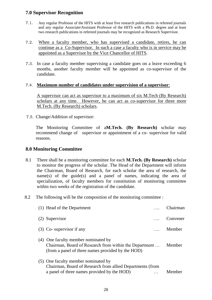# **7.0 Supervisor Recognition**

- 7.1. Any regular Professor of the HITS with at least five research publications in refereed journals and any regular Associate/Assistant Professor of the HITS with a Ph.D. degree and at least two research publications in refereed journals may be recognized as Research Supervisor.
- 7.2. When a faculty member, who has supervised a candidate, retires, he can continue as a Co-Supervisor. In such a case a faculty who is in service may be appointed as a Supervisor by the Vice Chancellor of HITS.
- 7.3. In case a faculty member supervising a candidate goes on a leave exceeding 6 months, another faculty member will be appointed as co-supervisor of the candidate.

#### 7.4. **Maximum number of candidates under supervision of a supervisor**:

A supervisor can act as supervisor to a maximum of six M.Tech (By Research) scholars at any time. However, he can act as co-supervisor for three more M.Tech. (By Research) scholars.

7.5. Change/Addition of supervisor:

The Monitoring Committee of a**M.Tech. (By Research)** scholar may recommend change of supervisor or appointment of a co- supervisor for valid reasons.

#### **8.0 Monitoring Committee**

- 8.1 There shall be a monitoring committee for each **M.Tech. (By Research)** scholar to monitor the progress of the scholar. The Head of the Department will inform the Chairman, Board of Research, for each scholar the area of research, the name(s) of the guide(s) and a panel of names, indicating the area of specialization, of faculty members for constitution of monitoring committee within two weeks of the registration of the candidate.
- 8.2 The following will be the composition of the monitoring committee :

| (1) Head of the Department                                                                                                                         |          | Chairman |
|----------------------------------------------------------------------------------------------------------------------------------------------------|----------|----------|
| (2) Supervisor                                                                                                                                     |          | Convener |
| $(3)$ Co-supervisor if any                                                                                                                         | $\cdots$ | Member   |
| (4) One faculty member nominated by<br>Chairman, Board of Research from within the Department<br>(from a panel of three names provided by the HOD) |          | Member   |
| (5) One faculty member nominated by<br>Chairman, Board of Research from allied Departments (from<br>a panel of three names provided by the HOD)    |          | Member   |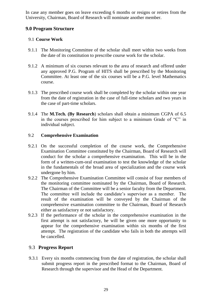In case any member goes on leave exceeding 6 months or resigns or retires from the University, Chairman, Board of Research will nominate another member.

# **9.0 Program Structure**

# 9.1 **Course Work**

- 9.1.1 The Monitoring Committee of the scholar shall meet within two weeks from the date of its constitution to prescribe course work for the scholar.
- 9.1.2 A minimum of six courses relevant to the area of research and offered under any approved P.G. Program of HITS shall be prescribed by the Monitoring Committee. At least one of the six courses will be a P.G. level Mathematics course.
- 9.1.3 The prescribed course work shall be completed by the scholar within one year from the date of registration in the case of full-time scholars and two years in the case of part-time scholars.
- 9.1.4 The **M.Tech. (By Research**) scholars shall obtain a minimum CGPA of 6.5 in the courses prescribed for him subject to a minimum Grade of "C" in individual subject.

#### 9.2 **Comprehensive Examination**

- 9.2.1 On the successful completion of the course work, the Comprehensive Examination Committee constituted by the Chairman, Board of Research will conduct for the scholar a comprehensive examination. This will be in the form of a written-cum-oral examination to test the knowledge of the scholar in the fundamentals of the broad area of specialization and the course work undergone by him.
- 9.2.2 The Comprehensive Examination Committee will consist of four members of the monitoring committee nominated by the Chairman, Board of Research. The Chairman of the Committee will be a senior faculty from the Department. The committee will include the candidate's supervisor as a member. The result of the examination will be conveyed by the Chairman of the comprehensive examination committee to the Chairman, Board of Research either as satisfactory or not satisfactory.
- 9.2.3 If the performance of the scholar in the comprehensive examination in the first attempt is not satisfactory, he will be given one more opportunity to appear for the comprehensive examination within six months of the first attempt. The registration of the candidate who fails in both the attempts will be cancelled.

# 9.3 **Progress Report**

9.3.1 Every six months commencing from the date of registration, the scholar shall submit progress report in the prescribed format to the Chairman, Board of Research through the supervisor and the Head of the Department.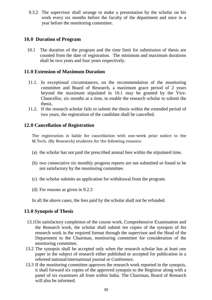9.3.2 The supervisor shall arrange to make a presentation by the scholar on his work every six months before the faculty of the department and once in a year before the monitoring committee.

# **10.0 Duration of Program**

10.1 The duration of the program and the time limit for submission of thesis are counted from the date of registration. The minimum and maximum durations shall be two years and four years respectively.

# **11.0 Extension of Maximum Duration**

- 11.1. In exceptional circumstances, on the recommendation of the monitoring committee and Board of Research, a maximum grace period of 2 years beyond the maximum stipulated in 10.1 may be granted by the Vice-Chancellor, six months at a time, to enable the research scholar to submit the thesis.
- 11.2. If the research scholar fails to submit the thesis within the extended period of two years, the registration of the candidate shall be cancelled.

# **12.0 Cancellation of Registration**

The registration is liable for cancellation with one-week prior notice to the M.Tech. (By Research) students for the following reasons:

- (a) the scholar has not paid the prescribed annual fees within the stipulated time.
- (b) two consecutive six monthly progress reports are not submitted or found to be not satisfactory by the monitoring committee.
- (c) the scholar submits an application for withdrawal from the program.
- (d) For reasons as given in 9.2.3

In all the above cases, the fees paid by the scholar shall not be refunded.

# **13.0 Synopsis of Thesis**

- 13.1On satisfactory completion of the course work, Comprehensive Examination and the Research work, the scholar shall submit ten copies of the synopsis of his research work in the required format through the supervisor and the Head of the Department to the Chairman, monitoring committee for consideration of the monitoring committee.
- 13.2 The synopsis shall be accepted only when the research scholar has at least one paper in the subject of research either published or accepted for publication in a refereed national/international journal or Conference.
- 13.3 If the monitoring committee approves the research work reported in the synopsis, it shall forward six copies of the approved synopsis to the Registrar along with a panel of six examiners all from within India. The Chairman, Board of Research will also be informed.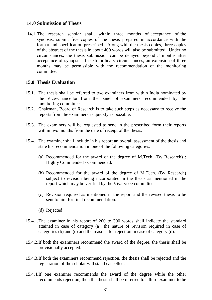#### **14.0 Submission of Thesis**

14.1 The research scholar shall, within three months of acceptance of the synopsis, submit five copies of the thesis prepared in accordance with the format and specification prescribed. Along with the thesis copies, three copies of the abstract of the thesis in about 400 words will also be submitted. Under no circumstances, the thesis submission can be delayed beyond 3 months after acceptance of synopsis. In extraordinary circumstances, an extension of three months may be permissible with the recommendation of the monitoring committee.

#### **15.0 Thesis Evaluation**

- 15.1. The thesis shall be referred to two examiners from within India nominated by the Vice-Chancellor from the panel of examiners recommended by the monitoring committee
- 15.2. Chairman, Board of Research is to take such steps as necessary to receive the reports from the examiners as quickly as possible.
- 15.3. The examiners will be requested to send in the prescribed form their reports within two months from the date of receipt of the thesis.
- 15.4. The examiner shall include in his report an overall assessment of the thesis and state his recommendation in one of the following categories:
	- (a) Recommended for the award of the degree of M.Tech. (By Research) : Highly Commended / Commended.
	- (b) Recommended for the award of the degree of M.Tech. (By Research) subject to revision being incorporated in the thesis as mentioned in the report which may be verified by the Viva-voce committee.
	- (c) Revision required as mentioned in the report and the revised thesis to be sent to him for final recommendation.
	- (d) Rejected
- 15.4.1.The examiner in his report of 200 to 300 words shall indicate the standard attained in case of category (a), the nature of revision required in case of categories (b) and (c) and the reasons for rejection in case of category (d).
- 15.4.2.If both the examiners recommend the award of the degree, the thesis shall be provisionally accepted.
- 15.4.3.If both the examiners recommend rejection, the thesis shall be rejected and the registration of the scholar will stand cancelled.
- 15.4.4.If one examiner recommends the award of the degree while the other recommends rejection, then the thesis shall be referred to a third examiner to be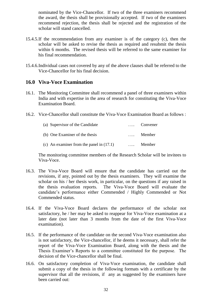nominated by the Vice-Chancellor. If two of the three examiners recommend the award, the thesis shall be provisionally accepted. If two of the examiners recommend rejection, the thesis shall be rejected and the registration of the scholar will stand cancelled.

- 15.4.5.If the recommendation from any examiner is of the category (c), then the scholar will be asked to revise the thesis as required and resubmit the thesis within 6 months. The revised thesis will be referred to the same examiner for his final recommendation.
- 15.4.6.Individual cases not covered by any of the above clauses shall be referred to the Vice-Chancellor for his final decision.

#### **16.0 Viva-Voce Examination**

- 16.1. The Monitoring Committee shall recommend a panel of three examiners within India and with expertise in the area of research for constituting the Viva-Voce Examination Board.
- 16.2. Vice-Chancellor shall constitute the Viva-Voce Examination Board as follows :

| (a) Supervisor of the Candidate            | Convener |
|--------------------------------------------|----------|
| (b) One Examiner of the thesis             | Member   |
| (c) An examiner from the panel in $(17.1)$ | Member   |

The monitoring committee members of the Research Scholar will be invitees to Viva-Voce.

- 16.3. The Viva-Voce Board will ensure that the candidate has carried out the revisions, if any, pointed out by the thesis examiners. They will examine the scholar on his / her thesis work, in particular, on the questions if any raised in the thesis evaluation reports. The Viva-Voce Board will evaluate the candidate's performance either Commended / Highly Commended or Not Commended status.
- 16.4. If the Viva-Voce Board declares the performance of the scholar not satisfactory, he / her may be asked to reappear for Viva-Voce examination at a later date (not later than 3 months from the date of the first Viva-Voce examination).
- 16.5. If the performance of the candidate on the second Viva-Voce examination also is not satisfactory, the Vice-chancellor, if he deems it necessary, shall refer the report of the Viva-Voce Examination Board, along with the thesis and the Thesis Examiner's Reports to a committee constituted for the purpose. The decision of the Vice-chancellor shall be final.
- 16.6. On satisfactory completion of Viva-Voce examination, the candidate shall submit a copy of the thesis in the following formats with a certificate by the supervisor that all the revisions, if any as suggested by the examiners have been carried out: